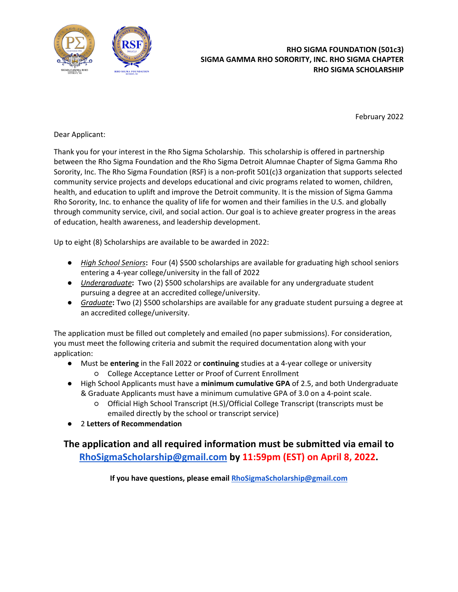

# j, **RHO SIGMA FOUNDATION (501c3) SIGMA GAMMA RHO SORORITY, INC. RHO SIGMA CHAPTER RHO SIGMA SCHOLARSHIP**

February 2022

Dear Applicant:

Thank you for your interest in the Rho Sigma Scholarship. This scholarship is offered in partnership between the Rho Sigma Foundation and the Rho Sigma Detroit Alumnae Chapter of Sigma Gamma Rho Sorority, Inc. The Rho Sigma Foundation (RSF) is a non-profit 501(c)3 organization that supports selected community service projects and develops educational and civic programs related to women, children, health, and education to uplift and improve the Detroit community. It is the mission of Sigma Gamma Rho Sorority, Inc. to enhance the quality of life for women and their families in the U.S. and globally through community service, civil, and social action. Our goal is to achieve greater progress in the areas of education, health awareness, and leadership development.

Up to eight (8) Scholarships are available to be awarded in 2022:

- *High School Seniors***:** Four (4) \$500 scholarships are available for graduating high school seniors entering a 4-year college/university in the fall of 2022
- *Undergraduate***:** Two (2) \$500 scholarships are available for any undergraduate student pursuing a degree at an accredited college/university.
- *Graduate***:** Two (2) \$500 scholarships are available for any graduate student pursuing a degree at an accredited college/university.

The application must be filled out completely and emailed (no paper submissions). For consideration, you must meet the following criteria and submit the required documentation along with your application:

- Must be **entering** in the Fall 2022 or **continuing** studies at a 4-year college or university
	- College Acceptance Letter or Proof of Current Enrollment
- High School Applicants must have a **minimum cumulative GPA** of 2.5, and both Undergraduate & Graduate Applicants must have a minimum cumulative GPA of 3.0 on a 4-point scale.
	- Official High School Transcript (H.S)/Official College Transcript (transcripts must be emailed directly by the school or transcript service)
- 2 **Letters of Recommendation**

# **The application and all required information must be submitted via email to [RhoSigmaScholarship@gmail.com](mailto:RhoSigmaScholarship@gmail.com) by 11:59pm (EST) on April 8, 2022.**

**If you have questions, please emai[l RhoSigmaScholarship@gmail.com](mailto:RhoSigmaScholarship@gmail.com)**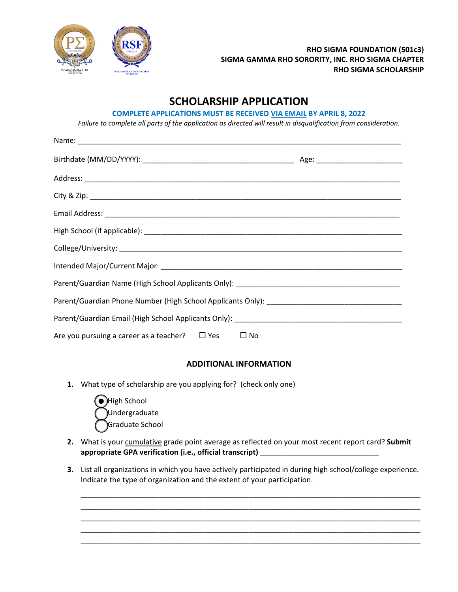

# **SCHOLARSHIP APPLICATION**

#### **COMPLETE APPLICATIONS MUST BE RECEIVED VIA EMAIL BY APRIL 8, 2022**

*Failure to complete all parts of the application as directed will result in disqualification from consideration.*

| Are you pursuing a career as a teacher? $\Box$ Yes $\Box$ No |  |
|--------------------------------------------------------------|--|

## **ADDITIONAL INFORMATION**

**1.** What type of scholarship are you applying for? (check only one)



- 2. What is your cumulative grade point average as reflected on your most recent report card? Submit **appropriate GPA verification (i.e., official transcript)** \_\_\_\_\_\_\_\_\_\_\_\_\_\_\_\_\_\_\_\_\_\_\_\_\_\_\_\_\_
- **3.** List all organizations in which you have actively participated in during high school/college experience. Indicate the type of organization and the extent of your participation.

\_\_\_\_\_\_\_\_\_\_\_\_\_\_\_\_\_\_\_\_\_\_\_\_\_\_\_\_\_\_\_\_\_\_\_\_\_\_\_\_\_\_\_\_\_\_\_\_\_\_\_\_\_\_\_\_\_\_\_\_\_\_\_\_\_\_\_\_\_\_\_\_\_\_\_\_\_\_\_\_\_\_\_ \_\_\_\_\_\_\_\_\_\_\_\_\_\_\_\_\_\_\_\_\_\_\_\_\_\_\_\_\_\_\_\_\_\_\_\_\_\_\_\_\_\_\_\_\_\_\_\_\_\_\_\_\_\_\_\_\_\_\_\_\_\_\_\_\_\_\_\_\_\_\_\_\_\_\_\_\_\_\_\_\_\_\_ \_\_\_\_\_\_\_\_\_\_\_\_\_\_\_\_\_\_\_\_\_\_\_\_\_\_\_\_\_\_\_\_\_\_\_\_\_\_\_\_\_\_\_\_\_\_\_\_\_\_\_\_\_\_\_\_\_\_\_\_\_\_\_\_\_\_\_\_\_\_\_\_\_\_\_\_\_\_\_\_\_\_\_ \_\_\_\_\_\_\_\_\_\_\_\_\_\_\_\_\_\_\_\_\_\_\_\_\_\_\_\_\_\_\_\_\_\_\_\_\_\_\_\_\_\_\_\_\_\_\_\_\_\_\_\_\_\_\_\_\_\_\_\_\_\_\_\_\_\_\_\_\_\_\_\_\_\_\_\_\_\_\_\_\_\_\_ \_\_\_\_\_\_\_\_\_\_\_\_\_\_\_\_\_\_\_\_\_\_\_\_\_\_\_\_\_\_\_\_\_\_\_\_\_\_\_\_\_\_\_\_\_\_\_\_\_\_\_\_\_\_\_\_\_\_\_\_\_\_\_\_\_\_\_\_\_\_\_\_\_\_\_\_\_\_\_\_\_\_\_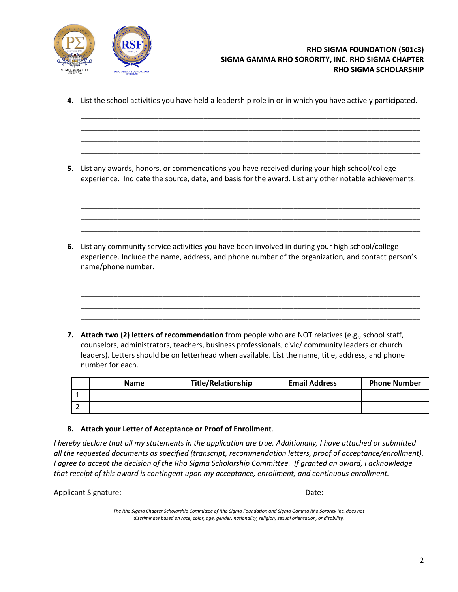

**4.** List the school activities you have held a leadership role in or in which you have actively participated.

\_\_\_\_\_\_\_\_\_\_\_\_\_\_\_\_\_\_\_\_\_\_\_\_\_\_\_\_\_\_\_\_\_\_\_\_\_\_\_\_\_\_\_\_\_\_\_\_\_\_\_\_\_\_\_\_\_\_\_\_\_\_\_\_\_\_\_\_\_\_\_\_\_\_\_\_\_\_\_\_\_\_\_ \_\_\_\_\_\_\_\_\_\_\_\_\_\_\_\_\_\_\_\_\_\_\_\_\_\_\_\_\_\_\_\_\_\_\_\_\_\_\_\_\_\_\_\_\_\_\_\_\_\_\_\_\_\_\_\_\_\_\_\_\_\_\_\_\_\_\_\_\_\_\_\_\_\_\_\_\_\_\_\_\_\_\_ \_\_\_\_\_\_\_\_\_\_\_\_\_\_\_\_\_\_\_\_\_\_\_\_\_\_\_\_\_\_\_\_\_\_\_\_\_\_\_\_\_\_\_\_\_\_\_\_\_\_\_\_\_\_\_\_\_\_\_\_\_\_\_\_\_\_\_\_\_\_\_\_\_\_\_\_\_\_\_\_\_\_\_ \_\_\_\_\_\_\_\_\_\_\_\_\_\_\_\_\_\_\_\_\_\_\_\_\_\_\_\_\_\_\_\_\_\_\_\_\_\_\_\_\_\_\_\_\_\_\_\_\_\_\_\_\_\_\_\_\_\_\_\_\_\_\_\_\_\_\_\_\_\_\_\_\_\_\_\_\_\_\_\_\_\_\_

**5.** List any awards, honors, or commendations you have received during your high school/college experience. Indicate the source, date, and basis for the award. List any other notable achievements.

\_\_\_\_\_\_\_\_\_\_\_\_\_\_\_\_\_\_\_\_\_\_\_\_\_\_\_\_\_\_\_\_\_\_\_\_\_\_\_\_\_\_\_\_\_\_\_\_\_\_\_\_\_\_\_\_\_\_\_\_\_\_\_\_\_\_\_\_\_\_\_\_\_\_\_\_\_\_\_\_\_\_\_ \_\_\_\_\_\_\_\_\_\_\_\_\_\_\_\_\_\_\_\_\_\_\_\_\_\_\_\_\_\_\_\_\_\_\_\_\_\_\_\_\_\_\_\_\_\_\_\_\_\_\_\_\_\_\_\_\_\_\_\_\_\_\_\_\_\_\_\_\_\_\_\_\_\_\_\_\_\_\_\_\_\_\_ \_\_\_\_\_\_\_\_\_\_\_\_\_\_\_\_\_\_\_\_\_\_\_\_\_\_\_\_\_\_\_\_\_\_\_\_\_\_\_\_\_\_\_\_\_\_\_\_\_\_\_\_\_\_\_\_\_\_\_\_\_\_\_\_\_\_\_\_\_\_\_\_\_\_\_\_\_\_\_\_\_\_\_ \_\_\_\_\_\_\_\_\_\_\_\_\_\_\_\_\_\_\_\_\_\_\_\_\_\_\_\_\_\_\_\_\_\_\_\_\_\_\_\_\_\_\_\_\_\_\_\_\_\_\_\_\_\_\_\_\_\_\_\_\_\_\_\_\_\_\_\_\_\_\_\_\_\_\_\_\_\_\_\_\_\_\_

**6.** List any community service activities you have been involved in during your high school/college experience. Include the name, address, and phone number of the organization, and contact person's name/phone number.

\_\_\_\_\_\_\_\_\_\_\_\_\_\_\_\_\_\_\_\_\_\_\_\_\_\_\_\_\_\_\_\_\_\_\_\_\_\_\_\_\_\_\_\_\_\_\_\_\_\_\_\_\_\_\_\_\_\_\_\_\_\_\_\_\_\_\_\_\_\_\_\_\_\_\_\_\_\_\_\_\_\_\_ \_\_\_\_\_\_\_\_\_\_\_\_\_\_\_\_\_\_\_\_\_\_\_\_\_\_\_\_\_\_\_\_\_\_\_\_\_\_\_\_\_\_\_\_\_\_\_\_\_\_\_\_\_\_\_\_\_\_\_\_\_\_\_\_\_\_\_\_\_\_\_\_\_\_\_\_\_\_\_\_\_\_\_ \_\_\_\_\_\_\_\_\_\_\_\_\_\_\_\_\_\_\_\_\_\_\_\_\_\_\_\_\_\_\_\_\_\_\_\_\_\_\_\_\_\_\_\_\_\_\_\_\_\_\_\_\_\_\_\_\_\_\_\_\_\_\_\_\_\_\_\_\_\_\_\_\_\_\_\_\_\_\_\_\_\_\_ \_\_\_\_\_\_\_\_\_\_\_\_\_\_\_\_\_\_\_\_\_\_\_\_\_\_\_\_\_\_\_\_\_\_\_\_\_\_\_\_\_\_\_\_\_\_\_\_\_\_\_\_\_\_\_\_\_\_\_\_\_\_\_\_\_\_\_\_\_\_\_\_\_\_\_\_\_\_\_\_\_\_\_

**7. Attach two (2) letters of recommendation** from people who are NOT relatives (e.g., school staff, counselors, administrators, teachers, business professionals, civic/ community leaders or church leaders). Letters should be on letterhead when available. List the name, title, address, and phone number for each.

| <b>Name</b> | <b>Title/Relationship</b> | <b>Email Address</b> | <b>Phone Number</b> |
|-------------|---------------------------|----------------------|---------------------|
|             |                           |                      |                     |
|             |                           |                      |                     |

#### **8. Attach your Letter of Acceptance or Proof of Enrollment**.

*I* hereby declare that all my statements in the application are true. Additionally, I have attached or submitted *all the requested documents as specified (transcript, recommendation letters, proof of acceptance/enrollment). I agree to accept the decision of the Rho Sigma Scholarship Committee. If granted an award, I acknowledge that receipt of this award is contingent upon my acceptance, enrollment, and continuous enrollment.*

| <b>Applicant Signature:</b> | Date. |  |
|-----------------------------|-------|--|
|                             |       |  |

*The Rho Sigma Chapter Scholarship Committee of Rho Sigma Foundation and Sigma Gamma Rho Sorority Inc. does not discriminate based on race, color, age, gender, nationality, religion, sexual orientation, or disability.*